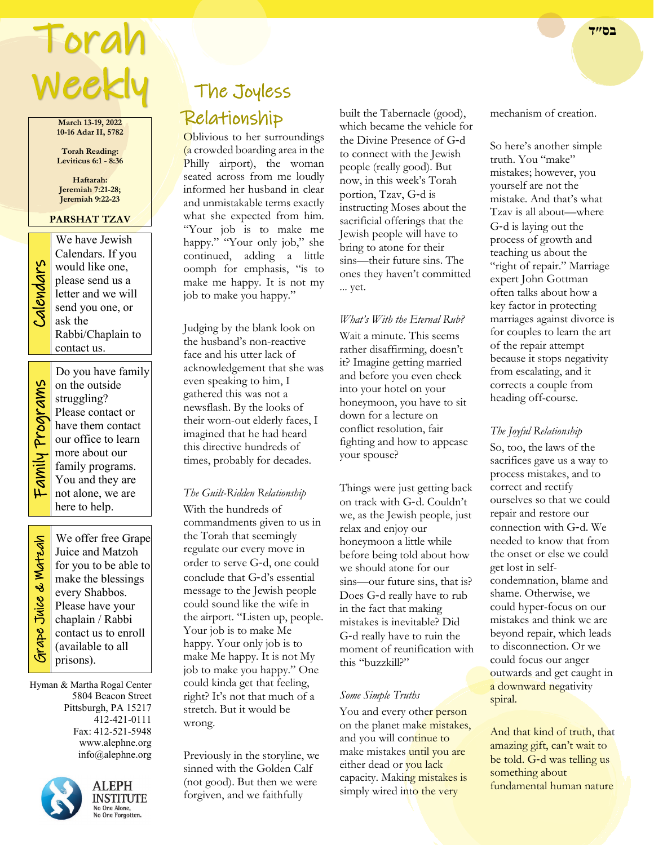# Torah **בס״ד**  Weekly

**March 13-19, 2022 10-16 Adar II, 5782**

**Torah Reading: Leviticus 6:1 - 8:36**

**Haftarah: Jeremiah 7:21-28; Jeremiah 9:22-23**

## **PARSHAT TZAV**

We have Jewish<br>Calendars. If you<br>would like one,<br>please send us a<br>letter and we will<br>send you one, or<br>ask the Calendars. If you would like one, please send us a letter and we will send you one, or ask the Rabbi/Chaplain to contact us.

> Do you have family on the outside

Family Programs Family Programs

struggling? Please contact or have them contact our office to learn more about our family programs. You and they are not alone, we are here to help.

 Grape Juice & Matzah **Sirape Juice & Watzah** 

We offer free Grape Juice and Matzoh for you to be able to make the blessings every Shabbos. Please have your chaplain / Rabbi contact us to enroll (available to all prisons).

Hyman & Martha Rogal Center 5804 Beacon Street Pittsburgh, PA 15217 412-421-0111 Fax: 412-521-5948 www.alephne.org info@alephne.org



**ALEPH INSTITUTE** No One Alone,<br>No One Forgotten.

## The Joyless Relationship

Oblivious to her surroundings (a crowded boarding area in the Philly airport), the woman seated across from me loudly informed her husband in clear and unmistakable terms exactly what she expected from him. "Your job is to make me happy." "Your only job," she continued, adding a little oomph for emphasis, "is to make me happy. It is not my job to make you happy."

Judging by the blank look on the husband's non-reactive face and his utter lack of acknowledgement that she was even speaking to him, I gathered this was not a newsflash. By the looks of their worn-out elderly faces, I imagined that he had heard this directive hundreds of times, probably for decades.

## *The Guilt-Ridden Relationship*

With the hundreds of commandments given to us in the Torah that seemingly regulate our every move in order to serve G‑d, one could conclude that G‑d's essential message to the Jewish people could sound like the wife in the airport. "Listen up, people. Your job is to make Me happy. Your only job is to make Me happy. It is not My job to make you happy." One could kinda get that feeling, right? It's not that much of a stretch. But it would be wrong.

Previously in the storyline, we sinned with the Golden Calf (not good). But then we were forgiven, and we faithfully

built the Tabernacle (good), which became the vehicle for the Divine Presence of G‑d to connect with the Jewish people (really good). But now, in this week's Torah portion, Tzav, G‑d is instructing Moses about the sacrificial offerings that the Jewish people will have to bring to atone for their sins—their future sins. The ones they haven't committed ... yet.

*What's With the Eternal Rub?* Wait a minute. This seems rather disaffirming, doesn't it? Imagine getting married and before you even check into your hotel on your honeymoon, you have to sit down for a lecture on conflict resolution, fair fighting and how to appease your spouse?

Things were just getting back on track with G‑d. Couldn't we, as the Jewish people, just relax and enjoy our honeymoon a little while before being told about how we should atone for our sins—our future sins, that is? Does G-d really have to rub in the fact that making mistakes is inevitable? Did G‑d really have to ruin the moment of reunification with this "buzzkill?"

## *Some Simple Truths*

You and every other person on the planet make mistakes, and you will continue to make mistakes until you are either dead or you lack capacity. Making mistakes is simply wired into the very

mechanism of creation.

So here's another simple truth. You "make" mistakes; however, you yourself are not the mistake. And that's what Tzav is all about—where G‑d is laying out the process of growth and teaching us about the "right of repair." Marriage expert John Gottman often talks about how a key factor in protecting marriages against divorce is for couples to learn the art of the repair attempt because it stops negativity from escalating, and it corrects a couple from heading off-course.

## *The Joyful Relationship*

So, too, the laws of the sacrifices gave us a way to process mistakes, and to correct and rectify ourselves so that we could repair and restore our connection with G‑d. We needed to know that from the onset or else we could get lost in selfcondemnation, blame and shame. Otherwise, we could hyper-focus on our mistakes and think we are beyond repair, which leads to disconnection. Or we could focus our anger outwards and get caught in a downward negativity spiral.

And that kind of truth, that amazing gift, can't wait to be told. G-d was telling us something about fundamental human nature